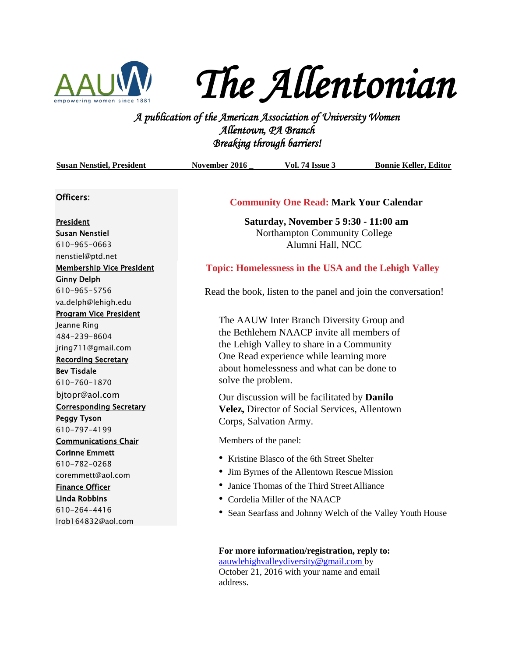

# *The Allentonian*

*A publication of the American Association of University Women Allentown, PA Branch Breaking through barriers!* 

| <b>Susan Nenstiel, President</b>                     | November 2016                                                 | <b>Vol. 74 Issue 3</b>                                      | <b>Bonnie Keller, Editor</b>                               |
|------------------------------------------------------|---------------------------------------------------------------|-------------------------------------------------------------|------------------------------------------------------------|
|                                                      |                                                               |                                                             |                                                            |
| Officers:                                            | <b>Community One Read: Mark Your Calendar</b>                 |                                                             |                                                            |
| President                                            | Saturday, November 5 9:30 - 11:00 am                          |                                                             |                                                            |
| <b>Susan Nenstiel</b>                                | Northampton Community College                                 |                                                             |                                                            |
| 610-965-0663                                         | Alumni Hall, NCC                                              |                                                             |                                                            |
| nenstiel@ptd.net                                     |                                                               |                                                             |                                                            |
| <b>Membership Vice President</b>                     |                                                               | <b>Topic: Homelessness in the USA and the Lehigh Valley</b> |                                                            |
| <b>Ginny Delph</b>                                   |                                                               |                                                             |                                                            |
| 610-965-5756                                         | Read the book, listen to the panel and join the conversation! |                                                             |                                                            |
| va.delph@lehigh.edu                                  |                                                               |                                                             |                                                            |
| <b>Program Vice President</b>                        |                                                               | The AAUW Inter Branch Diversity Group and                   |                                                            |
| Jeanne Ring                                          | the Bethlehem NAACP invite all members of                     |                                                             |                                                            |
| 484-239-8604                                         |                                                               | the Lehigh Valley to share in a Community                   |                                                            |
| jring711@gmail.com                                   |                                                               | One Read experience while learning more                     |                                                            |
| <b>Recording Secretary</b>                           |                                                               | about homelessness and what can be done to                  |                                                            |
| <b>Bev Tisdale</b>                                   | solve the problem.                                            |                                                             |                                                            |
| 610-760-1870                                         |                                                               |                                                             |                                                            |
| bjtopr@aol.com                                       |                                                               | Our discussion will be facilitated by <b>Danilo</b>         |                                                            |
| <b>Corresponding Secretary</b>                       |                                                               | Velez, Director of Social Services, Allentown               |                                                            |
| <b>Peggy Tyson</b>                                   | Corps, Salvation Army.                                        |                                                             |                                                            |
| 610-797-4199                                         |                                                               |                                                             |                                                            |
| <b>Communications Chair</b><br><b>Corinne Emmett</b> | Members of the panel:                                         |                                                             |                                                            |
| 610-782-0268                                         |                                                               | • Kristine Blasco of the 6th Street Shelter                 |                                                            |
| coremmett@aol.com                                    |                                                               | • Jim Byrnes of the Allentown Rescue Mission                |                                                            |
| <b>Finance Officer</b>                               |                                                               | • Janice Thomas of the Third Street Alliance                |                                                            |
| <b>Linda Robbins</b>                                 |                                                               | • Cordelia Miller of the NAACP                              |                                                            |
| 610-264-4416                                         |                                                               |                                                             |                                                            |
| lrob164832@aol.com                                   |                                                               |                                                             | • Sean Searfass and Johnny Welch of the Valley Youth House |
|                                                      |                                                               |                                                             |                                                            |

**For more information/registration, reply to:**  [aauwlehighvalleydiversity@gmail.com b](mailto:aauwlehighvalleydiversity@gmail.com)y October 21, 2016 with your name and email address.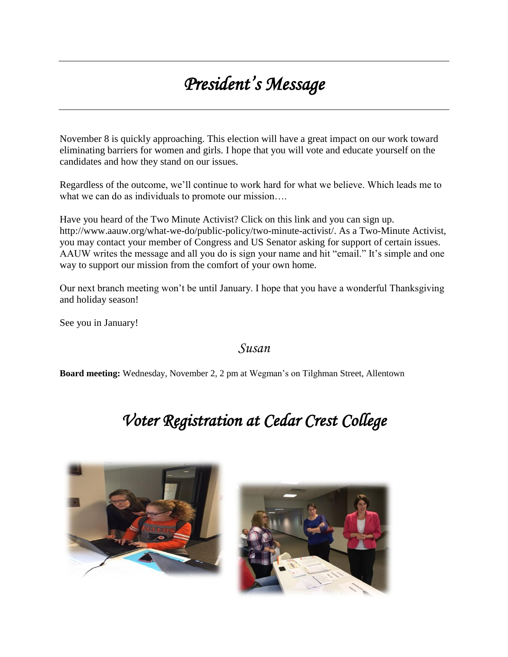# *President's Message*

November 8 is quickly approaching. This election will have a great impact on our work toward eliminating barriers for women and girls. I hope that you will vote and educate yourself on the candidates and how they stand on our issues.

Regardless of the outcome, we'll continue to work hard for what we believe. Which leads me to what we can do as individuals to promote our mission....

Have you heard of the Two Minute Activist? Click on this link and you can sign up. http://www.aauw.org/what-we-do/public-policy/two-minute-activist/. As a Two-Minute Activist, you may contact your member of Congress and US Senator asking for support of certain issues. AAUW writes the message and all you do is sign your name and hit "email." It's simple and one way to support our mission from the comfort of your own home.

Our next branch meeting won't be until January. I hope that you have a wonderful Thanksgiving and holiday season!

See you in January!

### *Susan*

**Board meeting:** Wednesday, November 2, 2 pm at Wegman's on Tilghman Street, Allentown

# *Voter Registration at Cedar Crest College*



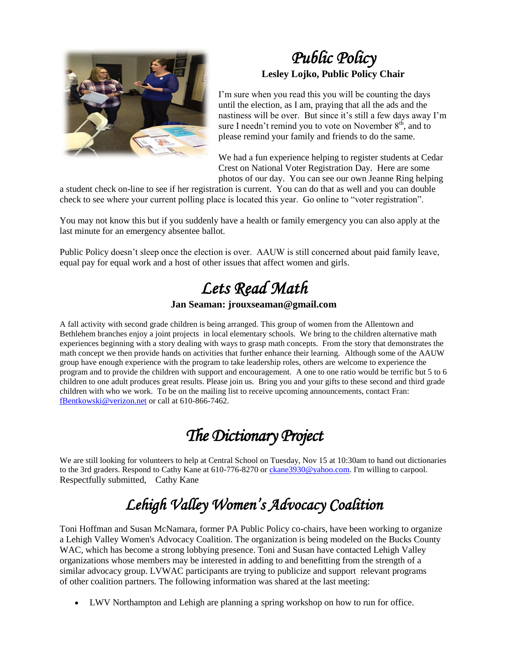

### *Public Policy*  **Lesley Lojko, Public Policy Chair**

I'm sure when you read this you will be counting the days until the election, as I am, praying that all the ads and the nastiness will be over. But since it's still a few days away I'm sure I needn't remind you to vote on November  $8<sup>th</sup>$ , and to please remind your family and friends to do the same.

We had a fun experience helping to register students at Cedar Crest on National Voter Registration Day. Here are some photos of our day. You can see our own Jeanne Ring helping

a student check on-line to see if her registration is current. You can do that as well and you can double check to see where your current polling place is located this year. Go online to "voter registration".

You may not know this but if you suddenly have a health or family emergency you can also apply at the last minute for an emergency absentee ballot.

Public Policy doesn't sleep once the election is over. AAUW is still concerned about paid family leave, equal pay for equal work and a host of other issues that affect women and girls.

# *Lets Read Math*

### **Jan Seaman: jrouxseaman@gmail.com**

A fall activity with second grade children is being arranged. This group of women from the Allentown and Bethlehem branches enjoy a joint projects in local elementary schools. We bring to the children alternative math experiences beginning with a story dealing with ways to grasp math concepts. From the story that demonstrates the math concept we then provide hands on activities that further enhance their learning. Although some of the AAUW group have enough experience with the program to take leadership roles, others are welcome to experience the program and to provide the children with support and encouragement. A one to one ratio would be terrific but 5 to 6 children to one adult produces great results. Please join us. Bring you and your gifts to these second and third grade children with who we work. To be on the mailing list to receive upcoming announcements, contact Fran: [fBentkowski@verizon.net](mailto:fBentkowski@verizon.net) or call at 610-866-7462.

# *The Dictionary Project*

We are still looking for volunteers to help at Central School on Tuesday, Nov 15 at 10:30am to hand out dictionaries to the 3rd graders. Respond to Cathy Kane at 610-776-8270 o[r ckane3930@yahoo.com.](mailto:ckane3930@yahoo.com) I'm willing to carpool. Respectfully submitted, Cathy Kane

# *Lehigh Valley Women's Advocacy Coalition*

Toni Hoffman and Susan McNamara, former PA Public Policy co-chairs, have been working to organize a Lehigh Valley Women's Advocacy Coalition. The organization is being modeled on the Bucks County WAC, which has become a strong lobbying presence. Toni and Susan have contacted Lehigh Valley organizations whose members may be interested in adding to and benefitting from the strength of a similar advocacy group. LVWAC participants are trying to publicize and support relevant programs of other coalition partners. The following information was shared at the last meeting:

LWV Northampton and Lehigh are planning a spring workshop on how to run for office.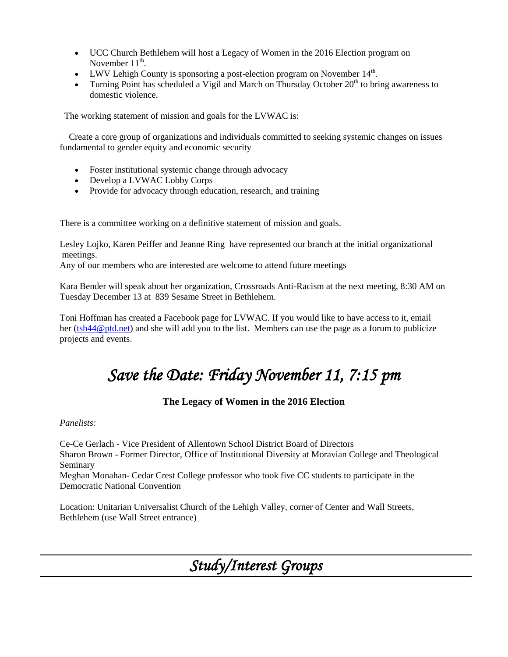- UCC Church Bethlehem will host a Legacy of Women in the 2016 Election program on November  $11^{\text{th}}$ .
- LWV Lehigh County is sponsoring a post-election program on November  $14<sup>th</sup>$ .
- Turning Point has scheduled a Vigil and March on Thursday October  $20<sup>th</sup>$  to bring awareness to domestic violence.

The working statement of mission and goals for the LVWAC is:

 Create a core group of organizations and individuals committed to seeking systemic changes on issues fundamental to gender equity and economic security

- Foster institutional systemic change through advocacy
- Develop a LVWAC Lobby Corps
- Provide for advocacy through education, research, and training

There is a committee working on a definitive statement of mission and goals.

Lesley Lojko, Karen Peiffer and Jeanne Ring have represented our branch at the initial organizational meetings.

Any of our members who are interested are welcome to attend future meetings

Kara Bender will speak about her organization, Crossroads Anti-Racism at the next meeting, 8:30 AM on Tuesday December 13 at 839 Sesame Street in Bethlehem.

Toni Hoffman has created a Facebook page for LVWAC. If you would like to have access to it, email her [\(tsh44@ptd.net\)](mailto:tsh44@ptd.net) and she will add you to the list. Members can use the page as a forum to publicize projects and events.

## *Save the Date: Friday November 11, 7:15 pm*

### **The Legacy of Women in the 2016 Election**

#### *Panelists:*

Ce-Ce Gerlach - Vice President of Allentown School District Board of Directors Sharon Brown - Former Director, Office of Institutional Diversity at Moravian College and Theological Seminary

Meghan Monahan- Cedar Crest College professor who took five CC students to participate in the Democratic National Convention

Location: Unitarian Universalist Church of the Lehigh Valley, corner of Center and Wall Streets, Bethlehem (use Wall Street entrance)

*Study/Interest Groups*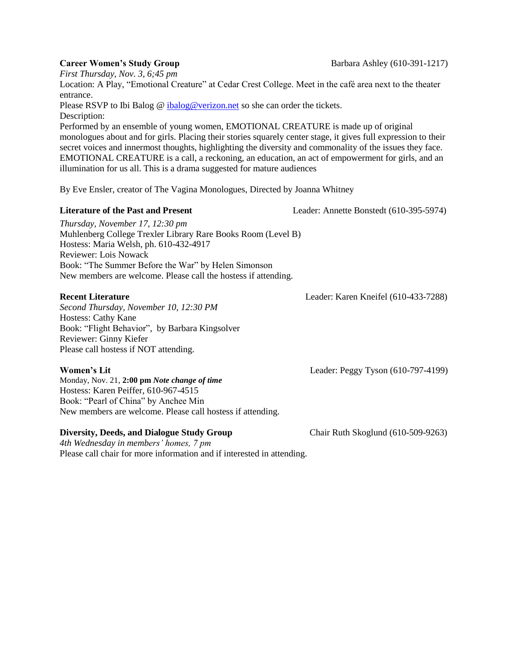*First Thursday, Nov. 3, 6;45 pm*

Location: A Play, "Emotional Creature" at Cedar Crest College. Meet in the café area next to the theater entrance.

Please RSVP to Ibi Balog @ ibalog @verizon.net so she can order the tickets. Description:

Performed by an ensemble of young women, EMOTIONAL CREATURE is made up of original monologues about and for girls. Placing their stories squarely center stage, it gives full expression to their secret voices and innermost thoughts, highlighting the diversity and commonality of the issues they face. EMOTIONAL CREATURE is a call, a reckoning, an education, an act of empowerment for girls, and an illumination for us all. This is a drama suggested for mature audiences

By Eve Ensler, creator of The Vagina Monologues, Directed by Joanna Whitney

#### **Literature of the Past and Present** Leader: Annette Bonstedt (610-395-5974)

*Thursday, November 17, 12:30 pm* Muhlenberg College Trexler Library Rare Books Room (Level B) Hostess: Maria Welsh, ph. 610-432-4917 Reviewer: Lois Nowack Book: "The Summer Before the War" by Helen Simonson New members are welcome. Please call the hostess if attending.

*Second Thursday, November 10, 12:30 PM* Hostess: Cathy Kane Book: "Flight Behavior", by Barbara Kingsolver Reviewer: Ginny Kiefer Please call hostess if NOT attending.

Monday, Nov. 21, **2:00 pm** *Note change of time* Hostess: Karen Peiffer, 610-967-4515 Book: "Pearl of China" by Anchee Min New members are welcome. Please call hostess if attending.

### **Diversity, Deeds, and Dialogue Study Group Chair Ruth Skoglund (610-509-9263)**

*4th Wednesday in members' homes, 7 pm*  Please call chair for more information and if interested in attending.

**Women's Lit** Leader: Peggy Tyson (610-797-4199)

**Career Women's Study Group Barbara Ashley (610-391-1217)** 

**Recent Literature** Leader: Karen Kneifel (610-433-7288)